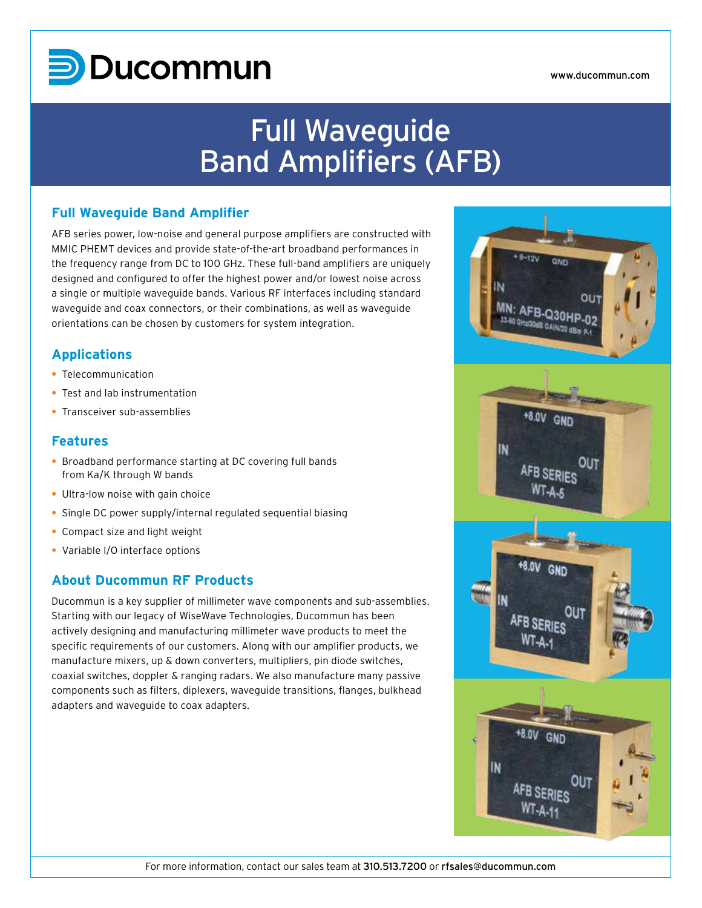# **D**Ducommun

# Full Waveguide Band Amplifiers (AFB)

### **Full Waveguide Band Amplifier**

AFB series power, low-noise and general purpose amplifiers are constructed with MMIC PHEMT devices and provide state-of-the-art broadband performances in the frequency range from DC to 100 GHz. These full-band amplifiers are uniquely designed and configured to offer the highest power and/or lowest noise across a single or multiple waveguide bands. Various RF interfaces including standard waveguide and coax connectors, or their combinations, as well as waveguide orientations can be chosen by customers for system integration.

## **Applications**

- **•** Telecommunication
- **•** Test and lab instrumentation
- **•** Transceiver sub-assemblies

#### **Features**

- **•** Broadband performance starting at DC covering full bands from Ka/K through W bands
- **•** Ultra-low noise with gain choice
- **•** Single DC power supply/internal regulated sequential biasing
- **•** Compact size and light weight
- **•** Variable I/O interface options

# **About Ducommun RF Products**

Ducommun is a key supplier of millimeter wave components and sub-assemblies. Starting with our legacy of WiseWave Technologies, Ducommun has been actively designing and manufacturing millimeter wave products to meet the specific requirements of our customers. Along with our amplifier products, we manufacture mixers, up & down converters, multipliers, pin diode switches, coaxial switches, doppler & ranging radars. We also manufacture many passive components such as filters, diplexers, waveguide transitions, flanges, bulkhead adapters and waveguide to coax adapters.